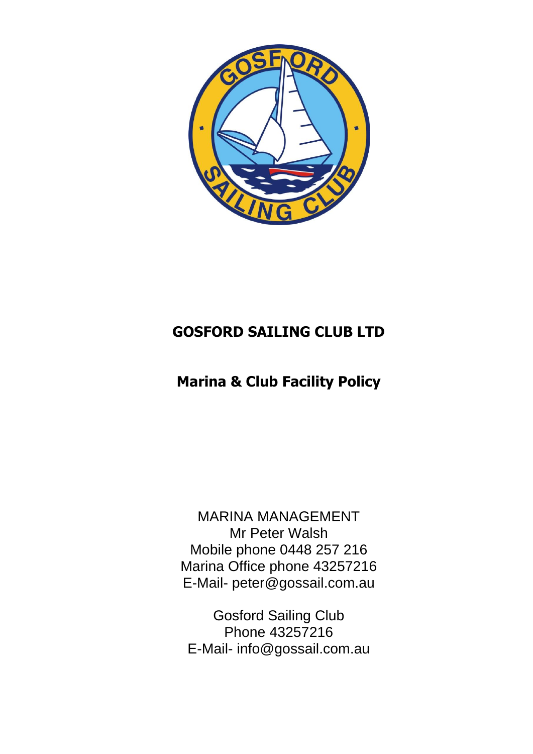

## **GOSFORD SAILING CLUB LTD**

# **Marina & Club Facility Policy**

MARINA MANAGEMENT Mr Peter Walsh Mobile phone 0448 257 216 Marina Office phone 43257216 E-Mail- peter@gossail.com.au

Gosford Sailing Club Phone 43257216 E-Mail- info@gossail.com.au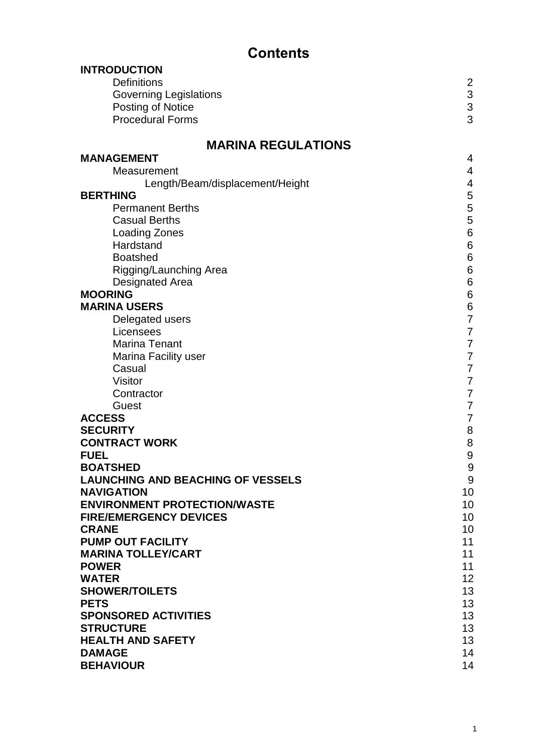# **Contents**

| <b>INTRODUCTION</b>                          |                                            |  |  |
|----------------------------------------------|--------------------------------------------|--|--|
| <b>Definitions</b>                           | $\overline{2}$                             |  |  |
| <b>Governing Legislations</b>                |                                            |  |  |
| Posting of Notice                            | $\begin{array}{c} 3 \\ 3 \\ 3 \end{array}$ |  |  |
| <b>Procedural Forms</b>                      |                                            |  |  |
|                                              |                                            |  |  |
| <b>MARINA REGULATIONS</b>                    |                                            |  |  |
| <b>MANAGEMENT</b>                            | 4                                          |  |  |
| Measurement                                  | 4                                          |  |  |
| Length/Beam/displacement/Height              | 4                                          |  |  |
| <b>BERTHING</b>                              | 5                                          |  |  |
| <b>Permanent Berths</b>                      | 5                                          |  |  |
| <b>Casual Berths</b>                         | 5                                          |  |  |
| <b>Loading Zones</b>                         | $\,6$                                      |  |  |
| Hardstand                                    | $\,6$                                      |  |  |
| <b>Boatshed</b>                              | $\,6$                                      |  |  |
| Rigging/Launching Area                       | $\,6$                                      |  |  |
| <b>Designated Area</b>                       | $\,$ 6 $\,$                                |  |  |
| <b>MOORING</b>                               | $\,$ 6 $\,$                                |  |  |
| <b>MARINA USERS</b>                          | $\,6$                                      |  |  |
| Delegated users                              | $\overline{7}$                             |  |  |
| Licensees                                    | $\overline{7}$                             |  |  |
| <b>Marina Tenant</b>                         | 7                                          |  |  |
| Marina Facility user                         | $\overline{7}$                             |  |  |
| Casual                                       | $\overline{7}$                             |  |  |
| <b>Visitor</b>                               | 7                                          |  |  |
| Contractor                                   | 7                                          |  |  |
| Guest                                        | 7                                          |  |  |
| <b>ACCESS</b>                                | 7                                          |  |  |
| <b>SECURITY</b>                              | $\bf 8$                                    |  |  |
| <b>CONTRACT WORK</b>                         | 8                                          |  |  |
| <b>FUEL</b>                                  | 9                                          |  |  |
| <b>BOATSHED</b>                              | $\boldsymbol{9}$                           |  |  |
| <b>LAUNCHING AND BEACHING OF VESSELS</b>     | 9                                          |  |  |
| <b>NAVIGATION</b>                            | 10                                         |  |  |
| <b>ENVIRONMENT PROTECTION/WASTE</b>          | 10                                         |  |  |
| <b>FIRE/EMERGENCY DEVICES</b>                | 10                                         |  |  |
| <b>CRANE</b>                                 | 10                                         |  |  |
| <b>PUMP OUT FACILITY</b>                     | 11                                         |  |  |
| <b>MARINA TOLLEY/CART</b>                    | 11                                         |  |  |
| <b>POWER</b><br><b>WATER</b>                 | 11<br>12                                   |  |  |
| <b>SHOWER/TOILETS</b>                        | 13                                         |  |  |
|                                              |                                            |  |  |
| <b>PETS</b><br><b>SPONSORED ACTIVITIES</b>   | 13<br>13                                   |  |  |
|                                              | 13                                         |  |  |
| <b>STRUCTURE</b><br><b>HEALTH AND SAFETY</b> |                                            |  |  |
| <b>DAMAGE</b>                                | 13<br>14                                   |  |  |
| <b>BEHAVIOUR</b>                             | 14                                         |  |  |
|                                              |                                            |  |  |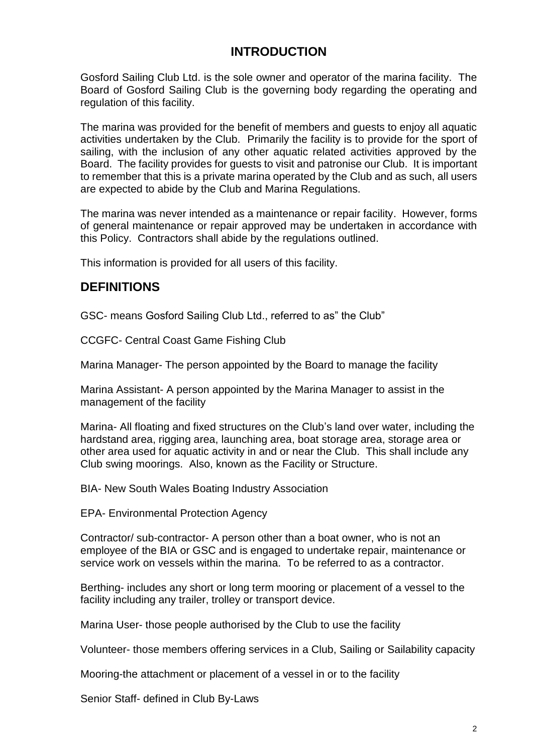## **INTRODUCTION**

Gosford Sailing Club Ltd. is the sole owner and operator of the marina facility. The Board of Gosford Sailing Club is the governing body regarding the operating and regulation of this facility.

The marina was provided for the benefit of members and guests to enjoy all aquatic activities undertaken by the Club. Primarily the facility is to provide for the sport of sailing, with the inclusion of any other aquatic related activities approved by the Board. The facility provides for guests to visit and patronise our Club. It is important to remember that this is a private marina operated by the Club and as such, all users are expected to abide by the Club and Marina Regulations.

The marina was never intended as a maintenance or repair facility. However, forms of general maintenance or repair approved may be undertaken in accordance with this Policy. Contractors shall abide by the regulations outlined.

This information is provided for all users of this facility.

## **DEFINITIONS**

GSC- means Gosford Sailing Club Ltd., referred to as" the Club"

CCGFC- Central Coast Game Fishing Club

Marina Manager- The person appointed by the Board to manage the facility

Marina Assistant- A person appointed by the Marina Manager to assist in the management of the facility

Marina- All floating and fixed structures on the Club's land over water, including the hardstand area, rigging area, launching area, boat storage area, storage area or other area used for aquatic activity in and or near the Club. This shall include any Club swing moorings. Also, known as the Facility or Structure.

BIA- New South Wales Boating Industry Association

EPA- Environmental Protection Agency

Contractor/ sub-contractor- A person other than a boat owner, who is not an employee of the BIA or GSC and is engaged to undertake repair, maintenance or service work on vessels within the marina. To be referred to as a contractor.

Berthing- includes any short or long term mooring or placement of a vessel to the facility including any trailer, trolley or transport device.

Marina User- those people authorised by the Club to use the facility

Volunteer- those members offering services in a Club, Sailing or Sailability capacity

Mooring-the attachment or placement of a vessel in or to the facility

Senior Staff- defined in Club By-Laws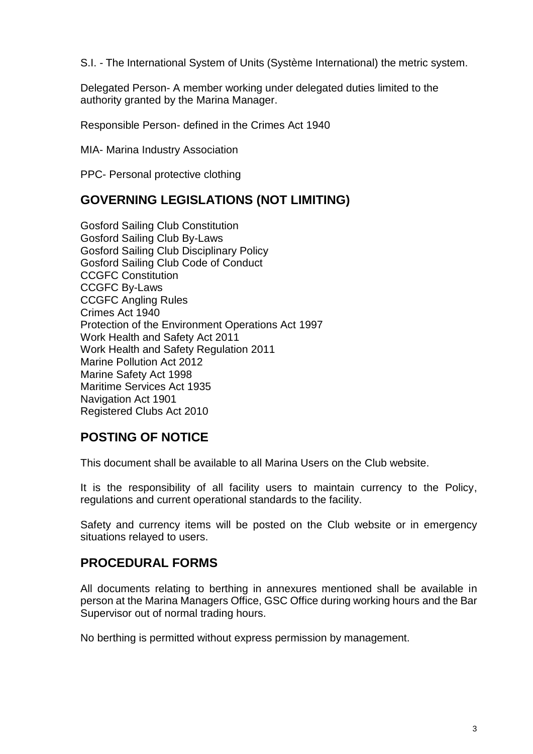S.I. - The International System of Units (Système International) the metric system.

Delegated Person- A member working under delegated duties limited to the authority granted by the Marina Manager.

Responsible Person- defined in the Crimes Act 1940

MIA- Marina Industry Association

PPC- Personal protective clothing

#### **GOVERNING LEGISLATIONS (NOT LIMITING)**

Gosford Sailing Club Constitution Gosford Sailing Club By-Laws Gosford Sailing Club Disciplinary Policy Gosford Sailing Club Code of Conduct CCGFC Constitution CCGFC By-Laws CCGFC Angling Rules Crimes Act 1940 Protection of the Environment Operations Act 1997 Work Health and Safety Act 2011 Work Health and Safety Regulation 2011 Marine Pollution Act 2012 Marine Safety Act 1998 Maritime Services Act 1935 Navigation Act 1901 Registered Clubs Act 2010

#### **POSTING OF NOTICE**

This document shall be available to all Marina Users on the Club website.

It is the responsibility of all facility users to maintain currency to the Policy, regulations and current operational standards to the facility.

Safety and currency items will be posted on the Club website or in emergency situations relayed to users.

#### **PROCEDURAL FORMS**

All documents relating to berthing in annexures mentioned shall be available in person at the Marina Managers Office, GSC Office during working hours and the Bar Supervisor out of normal trading hours.

No berthing is permitted without express permission by management.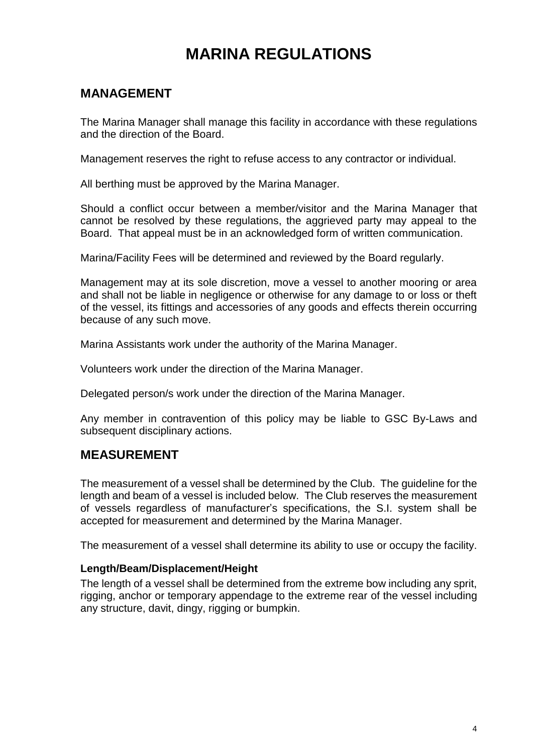# **MARINA REGULATIONS**

## **MANAGEMENT**

The Marina Manager shall manage this facility in accordance with these regulations and the direction of the Board.

Management reserves the right to refuse access to any contractor or individual.

All berthing must be approved by the Marina Manager.

Should a conflict occur between a member/visitor and the Marina Manager that cannot be resolved by these regulations, the aggrieved party may appeal to the Board. That appeal must be in an acknowledged form of written communication.

Marina/Facility Fees will be determined and reviewed by the Board regularly.

Management may at its sole discretion, move a vessel to another mooring or area and shall not be liable in negligence or otherwise for any damage to or loss or theft of the vessel, its fittings and accessories of any goods and effects therein occurring because of any such move.

Marina Assistants work under the authority of the Marina Manager.

Volunteers work under the direction of the Marina Manager.

Delegated person/s work under the direction of the Marina Manager.

Any member in contravention of this policy may be liable to GSC By-Laws and subsequent disciplinary actions.

#### **MEASUREMENT**

The measurement of a vessel shall be determined by the Club. The guideline for the length and beam of a vessel is included below. The Club reserves the measurement of vessels regardless of manufacturer's specifications, the S.I. system shall be accepted for measurement and determined by the Marina Manager.

The measurement of a vessel shall determine its ability to use or occupy the facility.

#### **Length/Beam/Displacement/Height**

The length of a vessel shall be determined from the extreme bow including any sprit, rigging, anchor or temporary appendage to the extreme rear of the vessel including any structure, davit, dingy, rigging or bumpkin.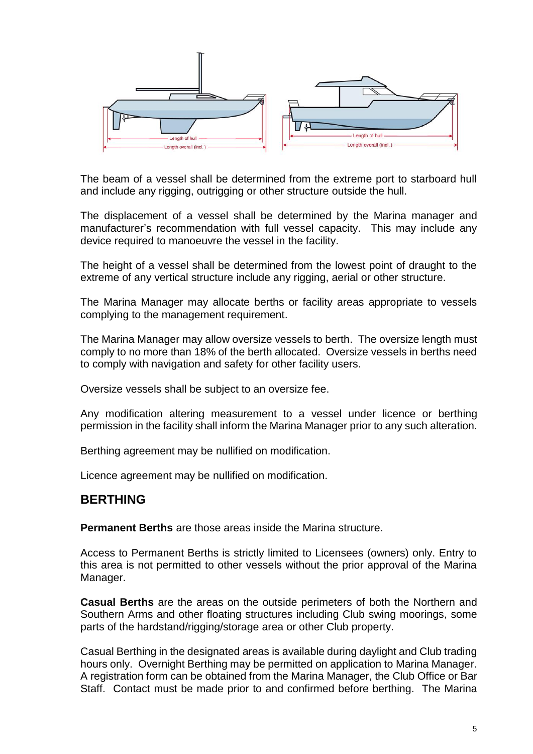

The beam of a vessel shall be determined from the extreme port to starboard hull and include any rigging, outrigging or other structure outside the hull.

The displacement of a vessel shall be determined by the Marina manager and manufacturer's recommendation with full vessel capacity. This may include any device required to manoeuvre the vessel in the facility.

The height of a vessel shall be determined from the lowest point of draught to the extreme of any vertical structure include any rigging, aerial or other structure.

The Marina Manager may allocate berths or facility areas appropriate to vessels complying to the management requirement.

The Marina Manager may allow oversize vessels to berth. The oversize length must comply to no more than 18% of the berth allocated. Oversize vessels in berths need to comply with navigation and safety for other facility users.

Oversize vessels shall be subject to an oversize fee.

Any modification altering measurement to a vessel under licence or berthing permission in the facility shall inform the Marina Manager prior to any such alteration.

Berthing agreement may be nullified on modification.

Licence agreement may be nullified on modification.

#### **BERTHING**

**Permanent Berths** are those areas inside the Marina structure.

Access to Permanent Berths is strictly limited to Licensees (owners) only. Entry to this area is not permitted to other vessels without the prior approval of the Marina Manager.

**Casual Berths** are the areas on the outside perimeters of both the Northern and Southern Arms and other floating structures including Club swing moorings, some parts of the hardstand/rigging/storage area or other Club property.

Casual Berthing in the designated areas is available during daylight and Club trading hours only. Overnight Berthing may be permitted on application to Marina Manager. A registration form can be obtained from the Marina Manager, the Club Office or Bar Staff. Contact must be made prior to and confirmed before berthing. The Marina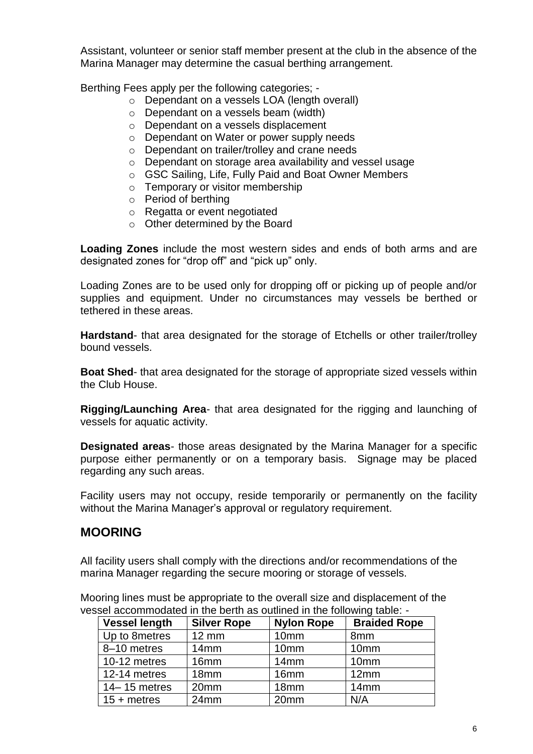Assistant, volunteer or senior staff member present at the club in the absence of the Marina Manager may determine the casual berthing arrangement.

Berthing Fees apply per the following categories; -

- o Dependant on a vessels LOA (length overall)
- o Dependant on a vessels beam (width)
- o Dependant on a vessels displacement
- o Dependant on Water or power supply needs
- o Dependant on trailer/trolley and crane needs
- o Dependant on storage area availability and vessel usage
- o GSC Sailing, Life, Fully Paid and Boat Owner Members
- o Temporary or visitor membership
- o Period of berthing
- o Regatta or event negotiated
- o Other determined by the Board

**Loading Zones** include the most western sides and ends of both arms and are designated zones for "drop off" and "pick up" only.

Loading Zones are to be used only for dropping off or picking up of people and/or supplies and equipment. Under no circumstances may vessels be berthed or tethered in these areas.

**Hardstand**- that area designated for the storage of Etchells or other trailer/trolley bound vessels.

**Boat Shed**- that area designated for the storage of appropriate sized vessels within the Club House.

**Rigging/Launching Area**- that area designated for the rigging and launching of vessels for aquatic activity.

**Designated areas-** those areas designated by the Marina Manager for a specific purpose either permanently or on a temporary basis. Signage may be placed regarding any such areas.

Facility users may not occupy, reside temporarily or permanently on the facility without the Marina Manager's approval or regulatory requirement.

#### **MOORING**

All facility users shall comply with the directions and/or recommendations of the marina Manager regarding the secure mooring or storage of vessels.

Mooring lines must be appropriate to the overall size and displacement of the vessel accommodated in the berth as outlined in the following table: -

| <b>Vessel length</b> | <b>Silver Rope</b> | <b>Nylon Rope</b> | <b>Braided Rope</b> |
|----------------------|--------------------|-------------------|---------------------|
| Up to 8 metres       | <b>12 mm</b>       | 10mm              | 8mm                 |
| 8-10 metres          | 14mm               | 10 <sub>mm</sub>  | 10mm                |
| 10-12 metres         | 16mm               | 14mm              | 10mm                |
| 12-14 metres         | 18 <sub>mm</sub>   | 16 <sub>mm</sub>  | 12mm                |
| $14 - 15$ metres     | 20mm               | 18 <sub>mm</sub>  | 14mm                |
| $15 + metres$        | 24mm               | 20mm              | N/A                 |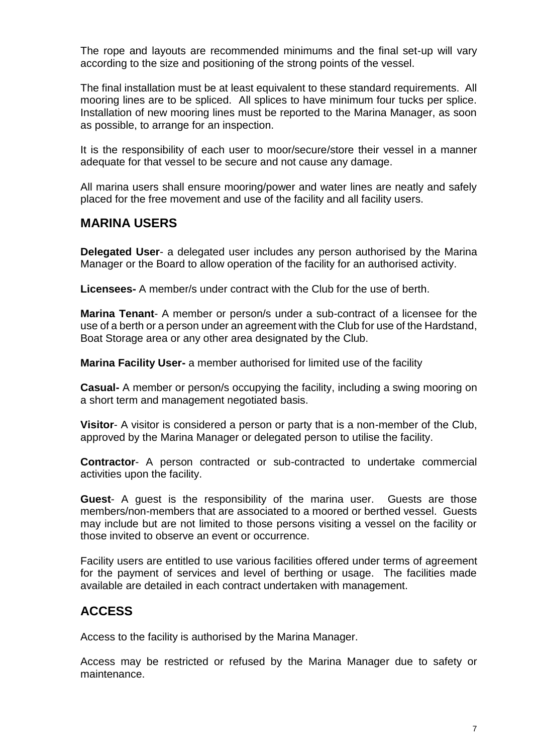The rope and layouts are recommended minimums and the final set-up will vary according to the size and positioning of the strong points of the vessel.

The final installation must be at least equivalent to these standard requirements. All mooring lines are to be spliced. All splices to have minimum four tucks per splice. Installation of new mooring lines must be reported to the Marina Manager, as soon as possible, to arrange for an inspection.

It is the responsibility of each user to moor/secure/store their vessel in a manner adequate for that vessel to be secure and not cause any damage.

All marina users shall ensure mooring/power and water lines are neatly and safely placed for the free movement and use of the facility and all facility users.

#### **MARINA USERS**

**Delegated User**- a delegated user includes any person authorised by the Marina Manager or the Board to allow operation of the facility for an authorised activity.

**Licensees-** A member/s under contract with the Club for the use of berth.

**Marina Tenant**- A member or person/s under a sub-contract of a licensee for the use of a berth or a person under an agreement with the Club for use of the Hardstand, Boat Storage area or any other area designated by the Club.

**Marina Facility User-** a member authorised for limited use of the facility

**Casual-** A member or person/s occupying the facility, including a swing mooring on a short term and management negotiated basis.

**Visitor**- A visitor is considered a person or party that is a non-member of the Club, approved by the Marina Manager or delegated person to utilise the facility.

**Contractor**- A person contracted or sub-contracted to undertake commercial activities upon the facility.

**Guest**- A guest is the responsibility of the marina user. Guests are those members/non-members that are associated to a moored or berthed vessel. Guests may include but are not limited to those persons visiting a vessel on the facility or those invited to observe an event or occurrence.

Facility users are entitled to use various facilities offered under terms of agreement for the payment of services and level of berthing or usage. The facilities made available are detailed in each contract undertaken with management.

#### **ACCESS**

Access to the facility is authorised by the Marina Manager.

Access may be restricted or refused by the Marina Manager due to safety or maintenance.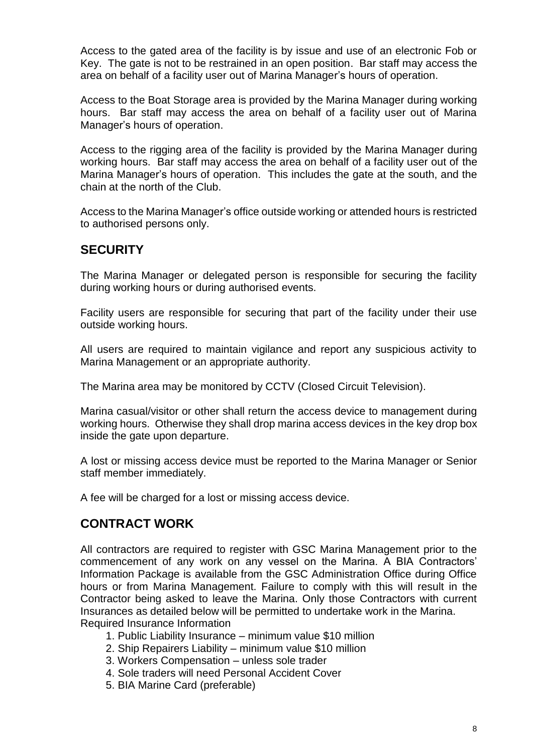Access to the gated area of the facility is by issue and use of an electronic Fob or Key. The gate is not to be restrained in an open position. Bar staff may access the area on behalf of a facility user out of Marina Manager's hours of operation.

Access to the Boat Storage area is provided by the Marina Manager during working hours. Bar staff may access the area on behalf of a facility user out of Marina Manager's hours of operation.

Access to the rigging area of the facility is provided by the Marina Manager during working hours. Bar staff may access the area on behalf of a facility user out of the Marina Manager's hours of operation. This includes the gate at the south, and the chain at the north of the Club.

Access to the Marina Manager's office outside working or attended hours is restricted to authorised persons only.

#### **SECURITY**

The Marina Manager or delegated person is responsible for securing the facility during working hours or during authorised events.

Facility users are responsible for securing that part of the facility under their use outside working hours.

All users are required to maintain vigilance and report any suspicious activity to Marina Management or an appropriate authority.

The Marina area may be monitored by CCTV (Closed Circuit Television).

Marina casual/visitor or other shall return the access device to management during working hours. Otherwise they shall drop marina access devices in the key drop box inside the gate upon departure.

A lost or missing access device must be reported to the Marina Manager or Senior staff member immediately.

A fee will be charged for a lost or missing access device.

#### **CONTRACT WORK**

All contractors are required to register with GSC Marina Management prior to the commencement of any work on any vessel on the Marina. A BIA Contractors' Information Package is available from the GSC Administration Office during Office hours or from Marina Management. Failure to comply with this will result in the Contractor being asked to leave the Marina. Only those Contractors with current Insurances as detailed below will be permitted to undertake work in the Marina. Required Insurance Information

- 1. Public Liability Insurance minimum value \$10 million
- 2. Ship Repairers Liability minimum value \$10 million
- 3. Workers Compensation unless sole trader
- 4. Sole traders will need Personal Accident Cover
- 5. BIA Marine Card (preferable)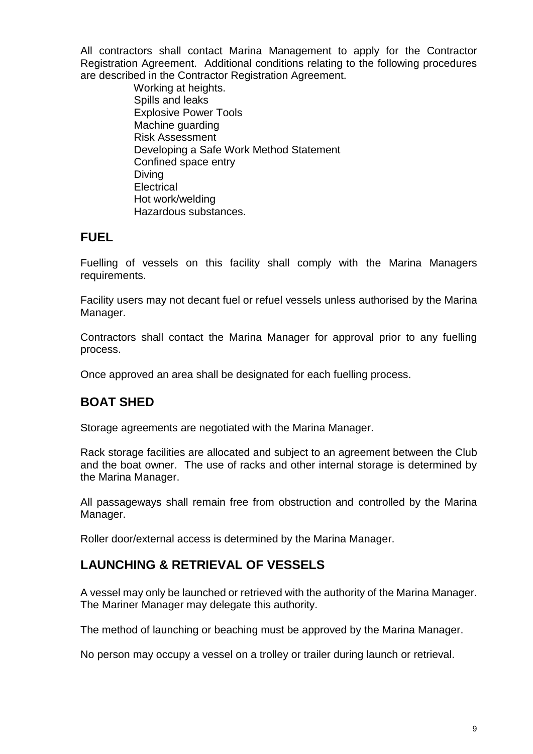All contractors shall contact Marina Management to apply for the Contractor Registration Agreement. Additional conditions relating to the following procedures are described in the Contractor Registration Agreement.

> Working at heights. Spills and leaks Explosive Power Tools Machine guarding Risk Assessment Developing a Safe Work Method Statement Confined space entry Diving **Electrical**  Hot work/welding Hazardous substances.

## **FUEL**

Fuelling of vessels on this facility shall comply with the Marina Managers requirements.

Facility users may not decant fuel or refuel vessels unless authorised by the Marina Manager.

Contractors shall contact the Marina Manager for approval prior to any fuelling process.

Once approved an area shall be designated for each fuelling process.

## **BOAT SHED**

Storage agreements are negotiated with the Marina Manager.

Rack storage facilities are allocated and subject to an agreement between the Club and the boat owner. The use of racks and other internal storage is determined by the Marina Manager.

All passageways shall remain free from obstruction and controlled by the Marina Manager.

Roller door/external access is determined by the Marina Manager.

#### **LAUNCHING & RETRIEVAL OF VESSELS**

A vessel may only be launched or retrieved with the authority of the Marina Manager. The Mariner Manager may delegate this authority.

The method of launching or beaching must be approved by the Marina Manager.

No person may occupy a vessel on a trolley or trailer during launch or retrieval.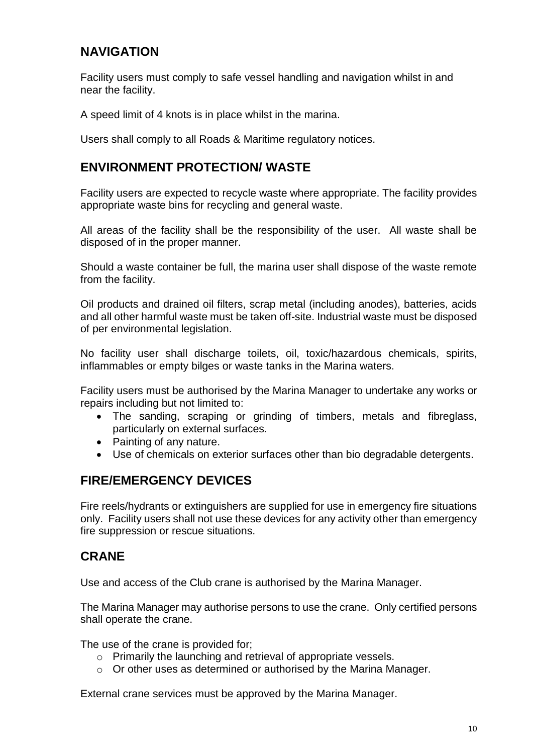## **NAVIGATION**

Facility users must comply to safe vessel handling and navigation whilst in and near the facility.

A speed limit of 4 knots is in place whilst in the marina.

Users shall comply to all Roads & Maritime regulatory notices.

#### **ENVIRONMENT PROTECTION/ WASTE**

Facility users are expected to recycle waste where appropriate. The facility provides appropriate waste bins for recycling and general waste.

All areas of the facility shall be the responsibility of the user. All waste shall be disposed of in the proper manner.

Should a waste container be full, the marina user shall dispose of the waste remote from the facility.

Oil products and drained oil filters, scrap metal (including anodes), batteries, acids and all other harmful waste must be taken off-site. Industrial waste must be disposed of per environmental legislation.

No facility user shall discharge toilets, oil, toxic/hazardous chemicals, spirits, inflammables or empty bilges or waste tanks in the Marina waters.

Facility users must be authorised by the Marina Manager to undertake any works or repairs including but not limited to:

- The sanding, scraping or grinding of timbers, metals and fibreglass, particularly on external surfaces.
- Painting of any nature.
- Use of chemicals on exterior surfaces other than bio degradable detergents.

#### **FIRE/EMERGENCY DEVICES**

Fire reels/hydrants or extinguishers are supplied for use in emergency fire situations only. Facility users shall not use these devices for any activity other than emergency fire suppression or rescue situations.

#### **CRANE**

Use and access of the Club crane is authorised by the Marina Manager.

The Marina Manager may authorise persons to use the crane. Only certified persons shall operate the crane.

The use of the crane is provided for;

- o Primarily the launching and retrieval of appropriate vessels.
- o Or other uses as determined or authorised by the Marina Manager.

External crane services must be approved by the Marina Manager.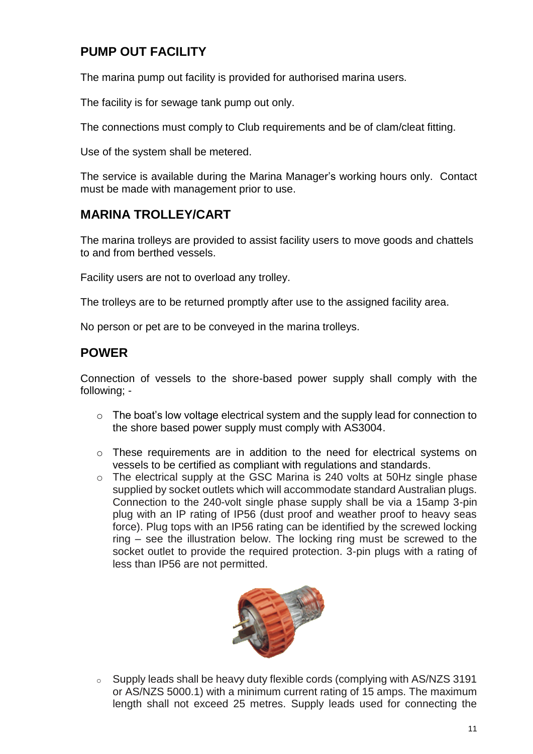## **PUMP OUT FACILITY**

The marina pump out facility is provided for authorised marina users.

The facility is for sewage tank pump out only.

The connections must comply to Club requirements and be of clam/cleat fitting.

Use of the system shall be metered.

The service is available during the Marina Manager's working hours only. Contact must be made with management prior to use.

## **MARINA TROLLEY/CART**

The marina trolleys are provided to assist facility users to move goods and chattels to and from berthed vessels.

Facility users are not to overload any trolley.

The trolleys are to be returned promptly after use to the assigned facility area.

No person or pet are to be conveyed in the marina trolleys.

#### **POWER**

Connection of vessels to the shore-based power supply shall comply with the following; -

- o The boat's low voltage electrical system and the supply lead for connection to the shore based power supply must comply with AS3004.
- o These requirements are in addition to the need for electrical systems on vessels to be certified as compliant with regulations and standards.
- o The electrical supply at the GSC Marina is 240 volts at 50Hz single phase supplied by socket outlets which will accommodate standard Australian plugs. Connection to the 240-volt single phase supply shall be via a 15amp 3-pin plug with an IP rating of IP56 (dust proof and weather proof to heavy seas force). Plug tops with an IP56 rating can be identified by the screwed locking ring – see the illustration below. The locking ring must be screwed to the socket outlet to provide the required protection. 3-pin plugs with a rating of less than IP56 are not permitted.



o Supply leads shall be heavy duty flexible cords (complying with AS/NZS 3191 or AS/NZS 5000.1) with a minimum current rating of 15 amps. The maximum length shall not exceed 25 metres. Supply leads used for connecting the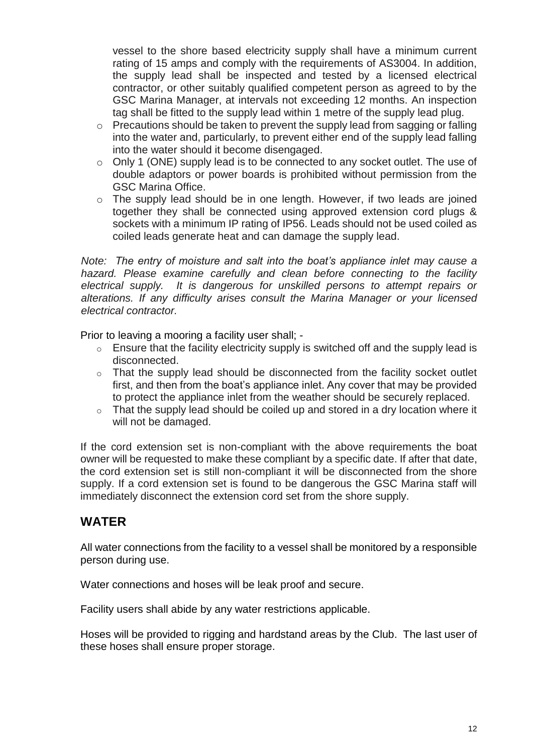vessel to the shore based electricity supply shall have a minimum current rating of 15 amps and comply with the requirements of AS3004. In addition, the supply lead shall be inspected and tested by a licensed electrical contractor, or other suitably qualified competent person as agreed to by the GSC Marina Manager, at intervals not exceeding 12 months. An inspection tag shall be fitted to the supply lead within 1 metre of the supply lead plug.

- o Precautions should be taken to prevent the supply lead from sagging or falling into the water and, particularly, to prevent either end of the supply lead falling into the water should it become disengaged.
- o Only 1 (ONE) supply lead is to be connected to any socket outlet. The use of double adaptors or power boards is prohibited without permission from the GSC Marina Office.
- o The supply lead should be in one length. However, if two leads are joined together they shall be connected using approved extension cord plugs & sockets with a minimum IP rating of IP56. Leads should not be used coiled as coiled leads generate heat and can damage the supply lead.

*Note: The entry of moisture and salt into the boat's appliance inlet may cause a hazard. Please examine carefully and clean before connecting to the facility electrical supply. It is dangerous for unskilled persons to attempt repairs or alterations. If any difficulty arises consult the Marina Manager or your licensed electrical contractor.*

Prior to leaving a mooring a facility user shall; -

- $\circ$  Ensure that the facility electricity supply is switched off and the supply lead is disconnected.
- o That the supply lead should be disconnected from the facility socket outlet first, and then from the boat's appliance inlet. Any cover that may be provided to protect the appliance inlet from the weather should be securely replaced.
- $\circ$  That the supply lead should be coiled up and stored in a dry location where it will not be damaged.

If the cord extension set is non-compliant with the above requirements the boat owner will be requested to make these compliant by a specific date. If after that date, the cord extension set is still non-compliant it will be disconnected from the shore supply. If a cord extension set is found to be dangerous the GSC Marina staff will immediately disconnect the extension cord set from the shore supply.

#### **WATER**

All water connections from the facility to a vessel shall be monitored by a responsible person during use.

Water connections and hoses will be leak proof and secure.

Facility users shall abide by any water restrictions applicable.

Hoses will be provided to rigging and hardstand areas by the Club. The last user of these hoses shall ensure proper storage.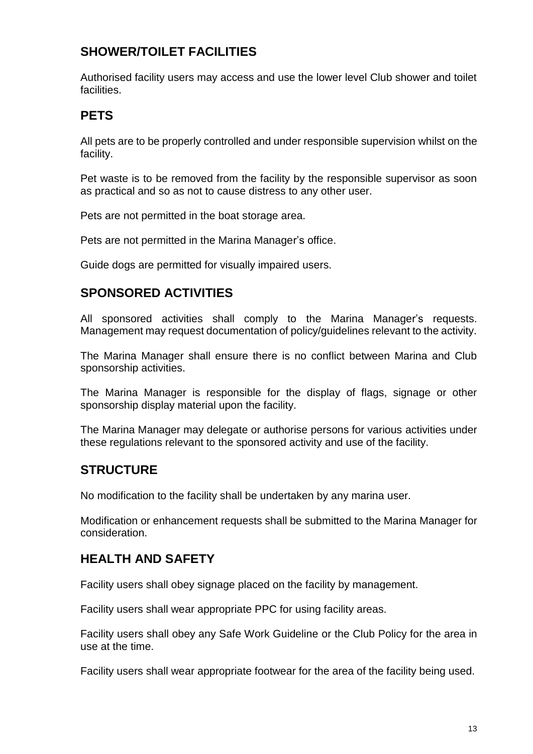## **SHOWER/TOILET FACILITIES**

Authorised facility users may access and use the lower level Club shower and toilet facilities.

## **PETS**

All pets are to be properly controlled and under responsible supervision whilst on the facility.

Pet waste is to be removed from the facility by the responsible supervisor as soon as practical and so as not to cause distress to any other user.

Pets are not permitted in the boat storage area.

Pets are not permitted in the Marina Manager's office.

Guide dogs are permitted for visually impaired users.

## **SPONSORED ACTIVITIES**

All sponsored activities shall comply to the Marina Manager's requests. Management may request documentation of policy/guidelines relevant to the activity.

The Marina Manager shall ensure there is no conflict between Marina and Club sponsorship activities.

The Marina Manager is responsible for the display of flags, signage or other sponsorship display material upon the facility.

The Marina Manager may delegate or authorise persons for various activities under these regulations relevant to the sponsored activity and use of the facility.

#### **STRUCTURE**

No modification to the facility shall be undertaken by any marina user.

Modification or enhancement requests shall be submitted to the Marina Manager for consideration.

#### **HEALTH AND SAFETY**

Facility users shall obey signage placed on the facility by management.

Facility users shall wear appropriate PPC for using facility areas.

Facility users shall obey any Safe Work Guideline or the Club Policy for the area in use at the time.

Facility users shall wear appropriate footwear for the area of the facility being used.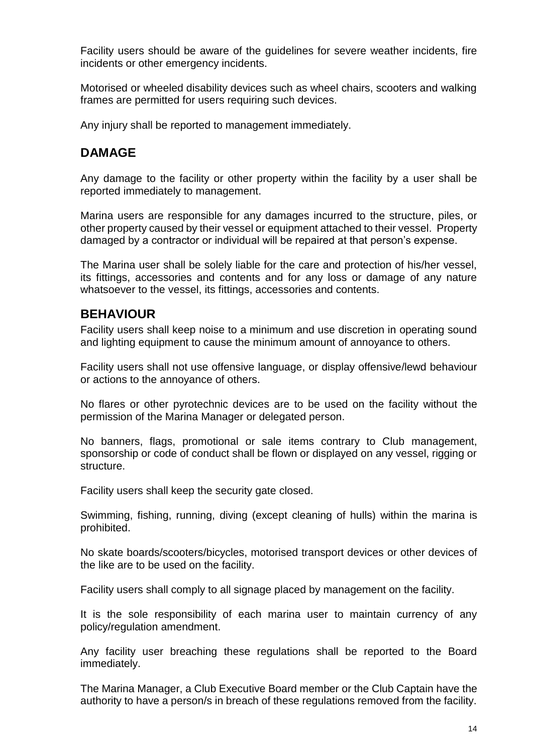Facility users should be aware of the guidelines for severe weather incidents, fire incidents or other emergency incidents.

Motorised or wheeled disability devices such as wheel chairs, scooters and walking frames are permitted for users requiring such devices.

Any injury shall be reported to management immediately.

## **DAMAGE**

Any damage to the facility or other property within the facility by a user shall be reported immediately to management.

Marina users are responsible for any damages incurred to the structure, piles, or other property caused by their vessel or equipment attached to their vessel. Property damaged by a contractor or individual will be repaired at that person's expense.

The Marina user shall be solely liable for the care and protection of his/her vessel, its fittings, accessories and contents and for any loss or damage of any nature whatsoever to the vessel, its fittings, accessories and contents.

#### **BEHAVIOUR**

Facility users shall keep noise to a minimum and use discretion in operating sound and lighting equipment to cause the minimum amount of annoyance to others.

Facility users shall not use offensive language, or display offensive/lewd behaviour or actions to the annoyance of others.

No flares or other pyrotechnic devices are to be used on the facility without the permission of the Marina Manager or delegated person.

No banners, flags, promotional or sale items contrary to Club management, sponsorship or code of conduct shall be flown or displayed on any vessel, rigging or structure.

Facility users shall keep the security gate closed.

Swimming, fishing, running, diving (except cleaning of hulls) within the marina is prohibited.

No skate boards/scooters/bicycles, motorised transport devices or other devices of the like are to be used on the facility.

Facility users shall comply to all signage placed by management on the facility.

It is the sole responsibility of each marina user to maintain currency of any policy/regulation amendment.

Any facility user breaching these regulations shall be reported to the Board immediately.

The Marina Manager, a Club Executive Board member or the Club Captain have the authority to have a person/s in breach of these regulations removed from the facility.